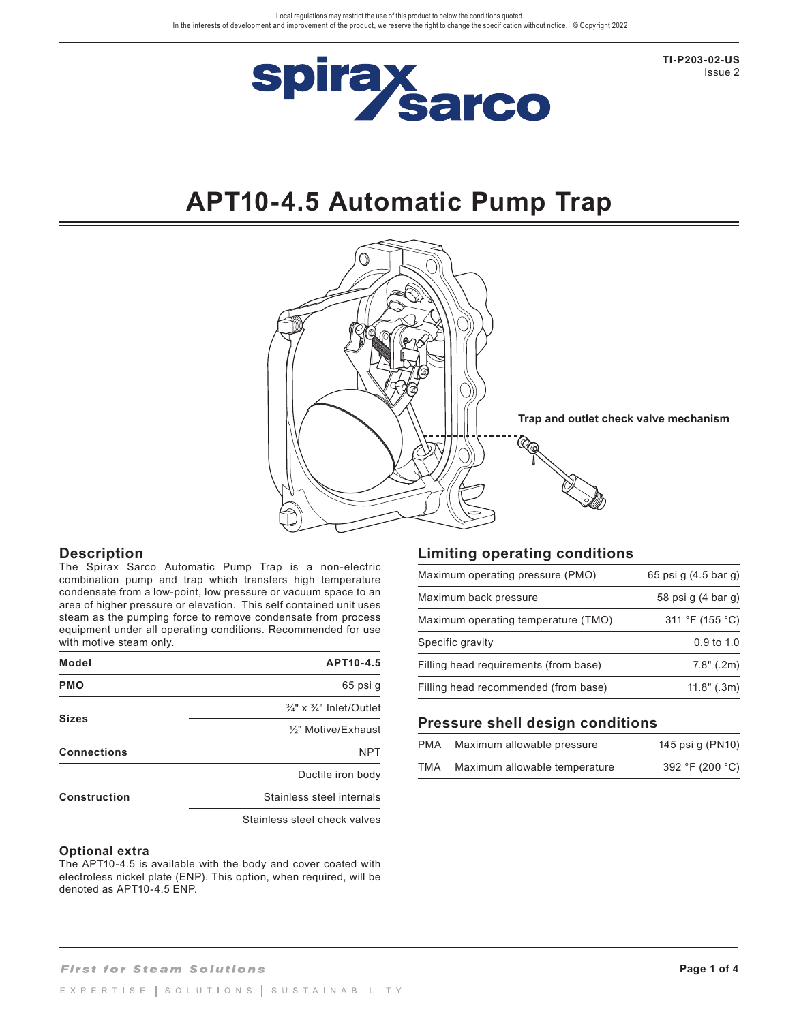

**TI-P203-02-US** Issue 2

# **APT10-4.5 Automatic Pump Trap**



# **Description**

The Spirax Sarco Automatic Pump Trap is a non-electric combination pump and trap which transfers high temperature condensate from a low-point, low pressure or vacuum space to an area of higher pressure or elevation. This self contained unit uses steam as the pumping force to remove condensate from process equipment under all operating conditions. Recommended for use with motive steam only.

| Model               | APT10-4.5                                      |
|---------------------|------------------------------------------------|
| <b>PMO</b>          | 65 psi g                                       |
|                     | $\frac{3}{4}$ " x $\frac{3}{4}$ " Inlet/Outlet |
| <b>Sizes</b>        | 1/ <sub>2</sub> " Motive/Exhaust               |
| <b>Connections</b>  | <b>NPT</b>                                     |
|                     | Ductile iron body                              |
| <b>Construction</b> | Stainless steel internals                      |
|                     | Stainless steel check valves                   |
|                     |                                                |

### **Optional extra**

The APT10-4.5 is available with the body and cover coated with electroless nickel plate (ENP). This option, when required, will be denoted as APT10-4.5 ENP.

# **Limiting operating conditions**

| Maximum operating pressure (PMO)      | 65 psi q (4.5 bar q) |
|---------------------------------------|----------------------|
| Maximum back pressure                 | 58 psi g (4 bar g)   |
| Maximum operating temperature (TMO)   | 311 °F (155 °C)      |
| Specific gravity                      | $0.9$ to $1.0$       |
| Filling head requirements (from base) | 7.8" (.2m)           |
| Filling head recommended (from base)  | $11.8"$ (.3m)        |

# **Pressure shell design conditions**

| PMA | Maximum allowable pressure    | 145 psi g (PN10) |
|-----|-------------------------------|------------------|
| TMA | Maximum allowable temperature | 392 °F (200 °C)  |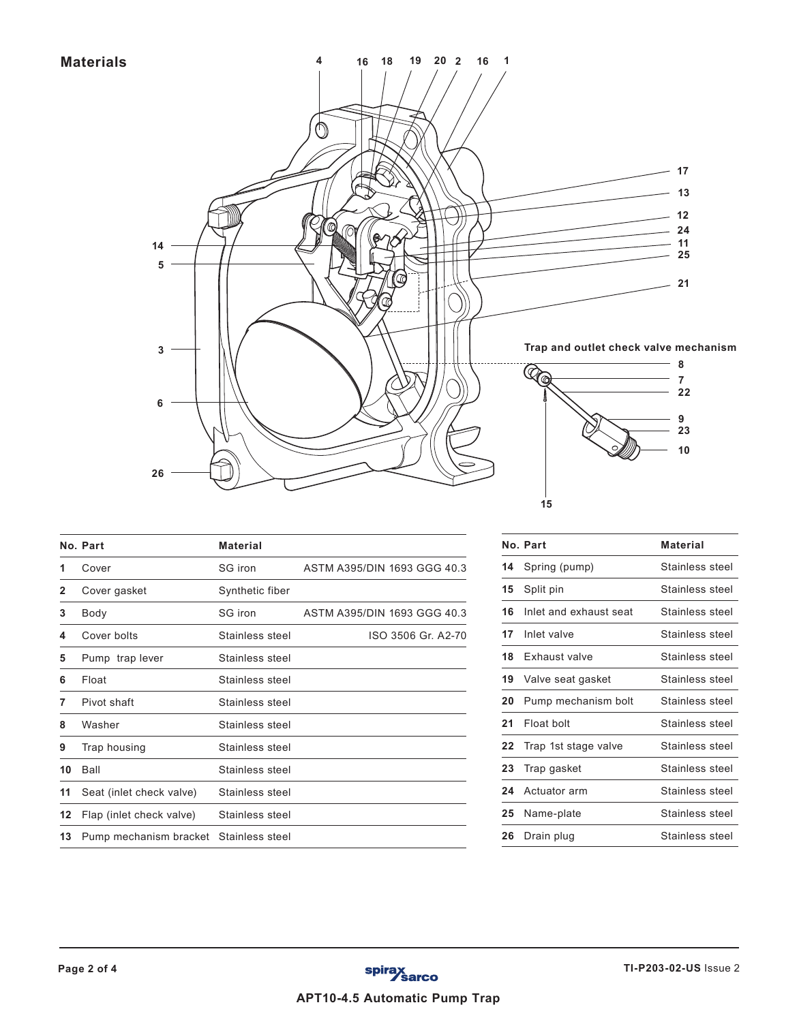**Materials**



|    | No. Part                               | <b>Material</b> |                             |
|----|----------------------------------------|-----------------|-----------------------------|
| 1  | Cover                                  | SG iron         | ASTM A395/DIN 1693 GGG 40.3 |
| 2  | Cover gasket                           | Synthetic fiber |                             |
| 3  | Body                                   | SG iron         | ASTM A395/DIN 1693 GGG 40.3 |
| 4  | Cover bolts                            | Stainless steel | ISO 3506 Gr. A2-70          |
| 5  | Pump trap lever                        | Stainless steel |                             |
| 6  | Float                                  | Stainless steel |                             |
| 7  | Pivot shaft                            | Stainless steel |                             |
| 8  | Washer                                 | Stainless steel |                             |
| 9  | Trap housing                           | Stainless steel |                             |
| 10 | Ball                                   | Stainless steel |                             |
| 11 | Seat (inlet check valve)               | Stainless steel |                             |
| 12 | Flap (inlet check valve)               | Stainless steel |                             |
| 13 | Pump mechanism bracket Stainless steel |                 |                             |

|    | No. Part               | <b>Material</b> |
|----|------------------------|-----------------|
| 14 | Spring (pump)          | Stainless steel |
| 15 | Split pin              | Stainless steel |
| 16 | Inlet and exhaust seat | Stainless steel |
| 17 | Inlet valve            | Stainless steel |
| 18 | Exhaust valve          | Stainless steel |
| 19 | Valve seat gasket      | Stainless steel |
| 20 | Pump mechanism bolt    | Stainless steel |
| 21 | Float bolt             | Stainless steel |
| 22 | Trap 1st stage valve   | Stainless steel |
| 23 | Trap gasket            | Stainless steel |
| 24 | Actuator arm           | Stainless steel |
| 25 | Name-plate             | Stainless steel |
| 26 | Drain plug             | Stainless steel |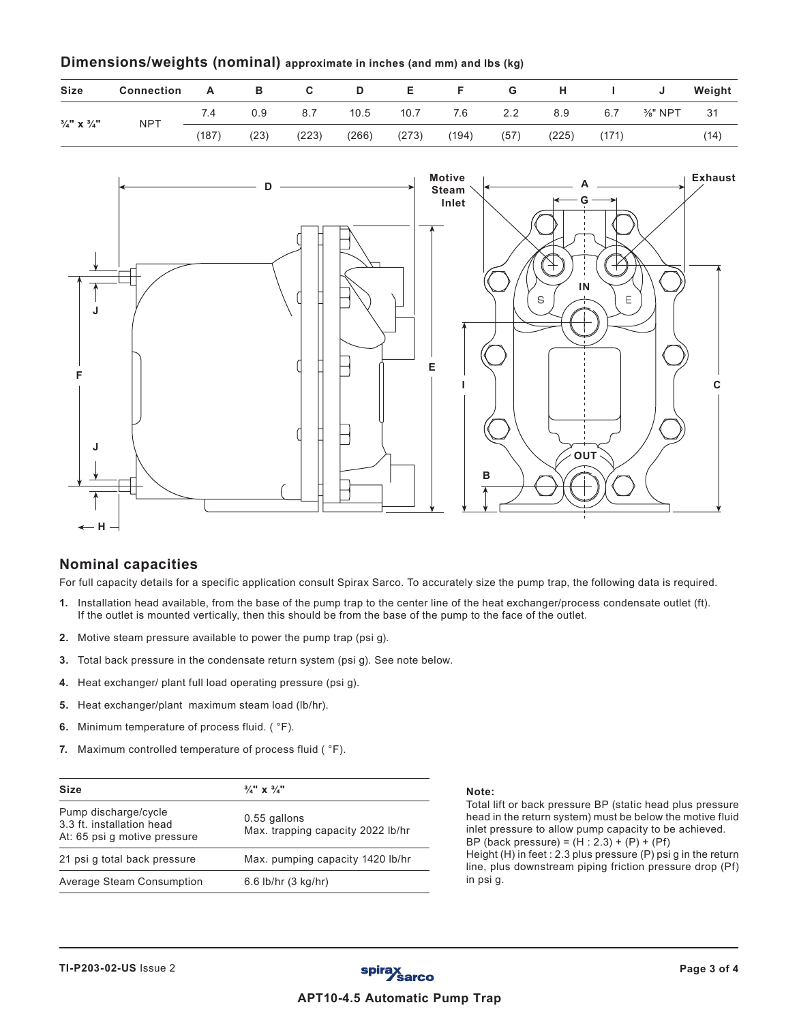# **Dimensions/weights (nominal) approximate in inches (and mm) and lbs (kg)**

| <b>Size</b>                       | <b>Connection</b> | A     | - B  | C.    | D     | E.    |       | G    | $-$ H $-$ | $\mathbf{1}$ | J                   | Weight |
|-----------------------------------|-------------------|-------|------|-------|-------|-------|-------|------|-----------|--------------|---------------------|--------|
|                                   | <b>NPT</b>        | 7.4   | 0.9  | 8.7   | 10.5  | 10.7  | 7.6   | 2.2  | 8.9       | 6.7          | $\frac{3}{8}$ " NPT | 31     |
| $\frac{3}{4}$ " X $\frac{3}{4}$ " |                   | (187) | (23) | (223) | (266) | (273) | (194) | (57) | (225)     | (171)        |                     | (14)   |



# **Nominal capacities**

For full capacity details for a specific application consult Spirax Sarco. To accurately size the pump trap, the following data is required.

- **1.** Installation head available, from the base of the pump trap to the center line of the heat exchanger/process condensate outlet (ft). If the outlet is mounted vertically, then this should be from the base of the pump to the face of the outlet.
- **2.** Motive steam pressure available to power the pump trap (psi g).
- **3.** Total back pressure in the condensate return system (psi g). See note below.
- **4.** Heat exchanger/ plant full load operating pressure (psi g).
- **5.** Heat exchanger/plant maximum steam load (lb/hr).
- **6.** Minimum temperature of process fluid. ( °F).
- **7.** Maximum controlled temperature of process fluid ( °F).

| <b>Size</b>                                                                       | $\frac{3}{4}$ " x $\frac{3}{4}$ "                 |
|-----------------------------------------------------------------------------------|---------------------------------------------------|
| Pump discharge/cycle<br>3.3 ft. installation head<br>At: 65 psi q motive pressure | 0.55 gallons<br>Max. trapping capacity 2022 lb/hr |
| 21 psi q total back pressure                                                      | Max. pumping capacity 1420 lb/hr                  |
| Average Steam Consumption                                                         | 6.6 lb/hr (3 kg/hr)                               |

Total lift or back pressure BP (static head plus pressure head in the return system) must be below the motive fluid inlet pressure to allow pump capacity to be achieved. BP (back pressure) =  $(H : 2.3) + (P) + (Pf)$ Height (H) in feet : 2.3 plus pressure (P) psi g in the return line, plus downstream piping friction pressure drop (Pf) in psi g.